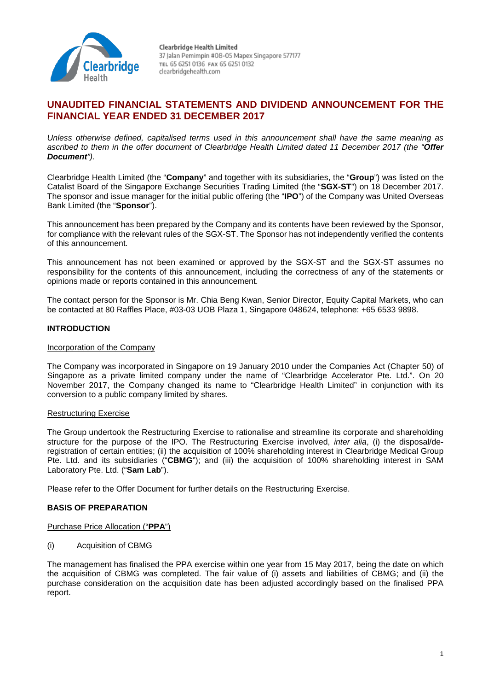

# **UNAUDITED FINANCIAL STATEMENTS AND DIVIDEND ANNOUNCEMENT FOR THE FINANCIAL YEAR ENDED 31 DECEMBER 2017**

*Unless otherwise defined, capitalised terms used in this announcement shall have the same meaning as ascribed to them in the offer document of Clearbridge Health Limited dated 11 December 2017 (the "Offer Document").*

Clearbridge Health Limited (the "**Company**" and together with its subsidiaries, the "**Group**") was listed on the Catalist Board of the Singapore Exchange Securities Trading Limited (the "**SGX-ST**") on 18 December 2017. The sponsor and issue manager for the initial public offering (the "**IPO**") of the Company was United Overseas Bank Limited (the "**Sponsor**").

This announcement has been prepared by the Company and its contents have been reviewed by the Sponsor, for compliance with the relevant rules of the SGX-ST. The Sponsor has not independently verified the contents of this announcement.

This announcement has not been examined or approved by the SGX-ST and the SGX-ST assumes no responsibility for the contents of this announcement, including the correctness of any of the statements or opinions made or reports contained in this announcement.

The contact person for the Sponsor is Mr. Chia Beng Kwan, Senior Director, Equity Capital Markets, who can be contacted at 80 Raffles Place, #03-03 UOB Plaza 1, Singapore 048624, telephone: +65 6533 9898.

# **INTRODUCTION**

### Incorporation of the Company

The Company was incorporated in Singapore on 19 January 2010 under the Companies Act (Chapter 50) of Singapore as a private limited company under the name of "Clearbridge Accelerator Pte. Ltd.". On 20 November 2017, the Company changed its name to "Clearbridge Health Limited" in conjunction with its conversion to a public company limited by shares.

### Restructuring Exercise

The Group undertook the Restructuring Exercise to rationalise and streamline its corporate and shareholding structure for the purpose of the IPO. The Restructuring Exercise involved, *inter alia*, (i) the disposal/deregistration of certain entities; (ii) the acquisition of 100% shareholding interest in Clearbridge Medical Group Pte. Ltd. and its subsidiaries ("**CBMG**"); and (iii) the acquisition of 100% shareholding interest in SAM Laboratory Pte. Ltd. ("**Sam Lab**").

Please refer to the Offer Document for further details on the Restructuring Exercise.

### **BASIS OF PREPARATION**

### Purchase Price Allocation ("**PPA**")

(i) Acquisition of CBMG

The management has finalised the PPA exercise within one year from 15 May 2017, being the date on which the acquisition of CBMG was completed. The fair value of (i) assets and liabilities of CBMG; and (ii) the purchase consideration on the acquisition date has been adjusted accordingly based on the finalised PPA report.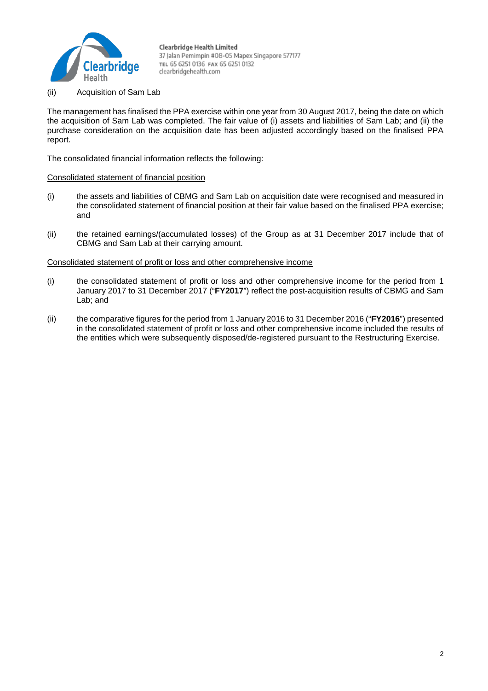

(ii) Acquisition of Sam Lab

The management has finalised the PPA exercise within one year from 30 August 2017, being the date on which the acquisition of Sam Lab was completed. The fair value of (i) assets and liabilities of Sam Lab; and (ii) the purchase consideration on the acquisition date has been adjusted accordingly based on the finalised PPA report.

The consolidated financial information reflects the following:

### Consolidated statement of financial position

- (i) the assets and liabilities of CBMG and Sam Lab on acquisition date were recognised and measured in the consolidated statement of financial position at their fair value based on the finalised PPA exercise; and
- (ii) the retained earnings/(accumulated losses) of the Group as at 31 December 2017 include that of CBMG and Sam Lab at their carrying amount.

### Consolidated statement of profit or loss and other comprehensive income

- (i) the consolidated statement of profit or loss and other comprehensive income for the period from 1 January 2017 to 31 December 2017 ("**FY2017**") reflect the post-acquisition results of CBMG and Sam Lab; and
- (ii) the comparative figures for the period from 1 January 2016 to 31 December 2016 ("**FY2016**") presented in the consolidated statement of profit or loss and other comprehensive income included the results of the entities which were subsequently disposed/de-registered pursuant to the Restructuring Exercise.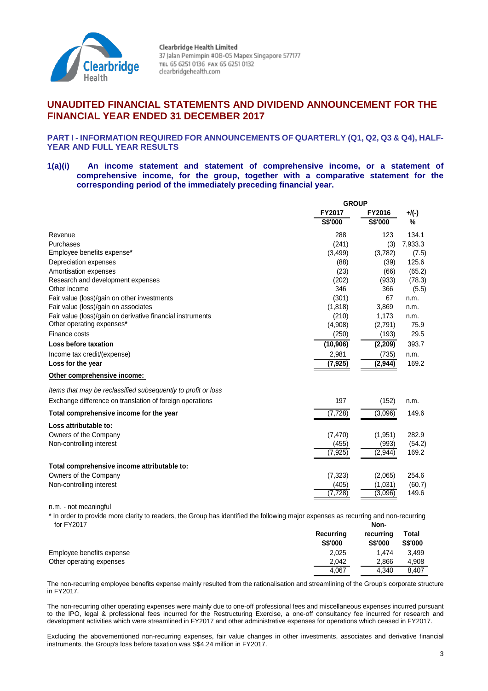

# **UNAUDITED FINANCIAL STATEMENTS AND DIVIDEND ANNOUNCEMENT FOR THE FINANCIAL YEAR ENDED 31 DECEMBER 2017**

### **PART I - INFORMATION REQUIRED FOR ANNOUNCEMENTS OF QUARTERLY (Q1, Q2, Q3 & Q4), HALF-YEAR AND FULL YEAR RESULTS**

### **1(a)(i) An income statement and statement of comprehensive income, or a statement of comprehensive income, for the group, together with a comparative statement for the corresponding period of the immediately preceding financial year.**

|                                                               | <b>GROUP</b>  |          |          |  |
|---------------------------------------------------------------|---------------|----------|----------|--|
|                                                               | <b>FY2017</b> | FY2016   | $+$ /(-) |  |
|                                                               | S\$'000       | S\$'000  | %        |  |
| Revenue                                                       | 288           | 123      | 134.1    |  |
| Purchases                                                     | (241)         | (3)      | 7,933.3  |  |
| Employee benefits expense*                                    | (3,499)       | (3,782)  | (7.5)    |  |
| Depreciation expenses                                         | (88)          | (39)     | 125.6    |  |
| Amortisation expenses                                         | (23)          | (66)     | (65.2)   |  |
| Research and development expenses                             | (202)         | (933)    | (78.3)   |  |
| Other income                                                  | 346           | 366      | (5.5)    |  |
| Fair value (loss)/gain on other investments                   | (301)         | 67       | n.m.     |  |
| Fair value (loss)/gain on associates                          | (1,818)       | 3,869    | n.m.     |  |
| Fair value (loss)/gain on derivative financial instruments    | (210)         | 1,173    | n.m.     |  |
| Other operating expenses*                                     | (4,908)       | (2,791)  | 75.9     |  |
| Finance costs                                                 | (250)         | (193)    | 29.5     |  |
| Loss before taxation                                          | (10, 906)     | (2,209)  | 393.7    |  |
| Income tax credit/(expense)                                   | 2,981         | (735)    | n.m.     |  |
| Loss for the year                                             | (7, 925)      | (2, 944) | 169.2    |  |
| Other comprehensive income:                                   |               |          |          |  |
| Items that may be reclassified subsequently to profit or loss |               |          |          |  |
| Exchange difference on translation of foreign operations      | 197           | (152)    | n.m.     |  |
| Total comprehensive income for the year                       | (7, 728)      | (3,096)  | 149.6    |  |
| Loss attributable to:                                         |               |          |          |  |
| Owners of the Company                                         | (7, 470)      | (1,951)  | 282.9    |  |
| Non-controlling interest                                      | (455)         | (993)    | (54.2)   |  |
|                                                               | (7, 925)      | (2,944)  | 169.2    |  |
| Total comprehensive income attributable to:                   |               |          |          |  |
| Owners of the Company                                         | (7, 323)      | (2,065)  | 254.6    |  |
| Non-controlling interest                                      | (405)         | (1,031)  | (60.7)   |  |
|                                                               | (7,728)       | (3,096)  | 149.6    |  |
|                                                               |               |          |          |  |

n.m. - not meaningful

\* In order to provide more clarity to readers, the Group has identified the following major expenses as recurring and non-recurring for FY2017 **Non-**

| .                         | .                           |                             |                                |  |  |  |
|---------------------------|-----------------------------|-----------------------------|--------------------------------|--|--|--|
|                           | Recurring<br><b>S\$'000</b> | recurring<br><b>S\$'000</b> | <b>Total</b><br><b>S\$'000</b> |  |  |  |
| Employee benefits expense | 2,025                       | 1.474                       | 3.499                          |  |  |  |
| Other operating expenses  | 2.042                       | 2.866                       | 4.908                          |  |  |  |
|                           | 4.067                       | 4.340                       | 8,407                          |  |  |  |

The non-recurring employee benefits expense mainly resulted from the rationalisation and streamlining of the Group's corporate structure in FY2017.

The non-recurring other operating expenses were mainly due to one-off professional fees and miscellaneous expenses incurred pursuant to the IPO, legal & professional fees incurred for the Restructuring Exercise, a one-off consultancy fee incurred for research and development activities which were streamlined in FY2017 and other administrative expenses for operations which ceased in FY2017.

Excluding the abovementioned non-recurring expenses, fair value changes in other investments, associates and derivative financial instruments, the Group's loss before taxation was S\$4.24 million in FY2017.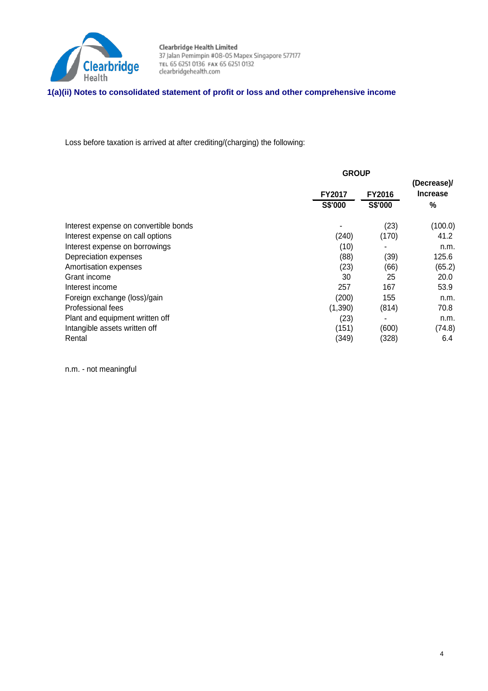

# **1(a)(ii) Notes to consolidated statement of profit or loss and other comprehensive income**

Loss before taxation is arrived at after crediting/(charging) the following:

|                                       | <b>GROUP</b>  |               |                 |
|---------------------------------------|---------------|---------------|-----------------|
|                                       |               |               | (Decrease)/     |
|                                       | <b>FY2017</b> | <b>FY2016</b> | <b>Increase</b> |
|                                       | S\$'000       | S\$'000       | $\%$            |
| Interest expense on convertible bonds |               | (23)          | (100.0)         |
| Interest expense on call options      | (240)         | (170)         | 41.2            |
| Interest expense on borrowings        | (10)          |               | n.m.            |
| Depreciation expenses                 | (88)          | (39)          | 125.6           |
| Amortisation expenses                 | (23)          | (66)          | (65.2)          |
| Grant income                          | 30            | 25            | 20.0            |
| Interest income                       | 257           | 167           | 53.9            |
| Foreign exchange (loss)/gain          | (200)         | 155           | n.m.            |
| Professional fees                     | (1,390)       | (814)         | 70.8            |
| Plant and equipment written off       | (23)          |               | n.m.            |
| Intangible assets written off         | (151)         | (600)         | (74.8)          |
| Rental                                | (349)         | (328)         | 6.4             |

n.m. - not meaningful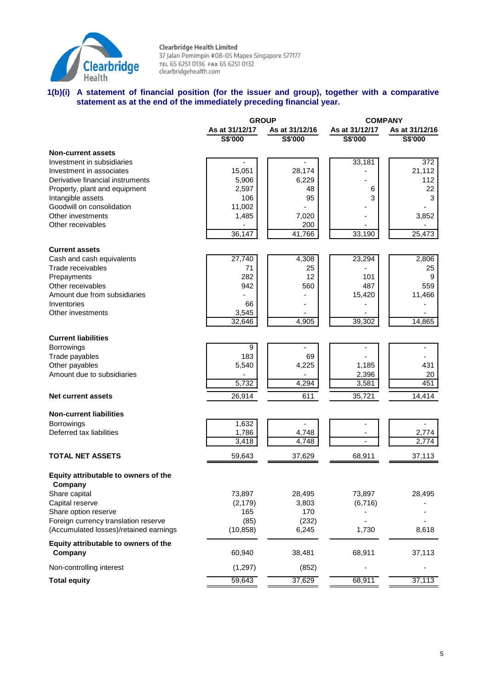

# **1(b)(i) A statement of financial position (for the issuer and group), together with a comparative statement as at the end of the immediately preceding financial year.**

|                                        | <b>GROUP</b>   |                | <b>COMPANY</b> |                  |  |
|----------------------------------------|----------------|----------------|----------------|------------------|--|
|                                        | As at 31/12/17 | As at 31/12/16 | As at 31/12/17 | As at 31/12/16   |  |
|                                        | S\$'000        | S\$'000        | S\$'000        | <b>S\$'000</b>   |  |
| <b>Non-current assets</b>              |                |                |                |                  |  |
| Investment in subsidiaries             |                |                | 33,181         | $\overline{372}$ |  |
| Investment in associates               | 15,051         | 28,174         |                | 21,112           |  |
| Derivative financial instruments       | 5,906          | 6,229          |                | 112              |  |
| Property, plant and equipment          | 2,597          | 48             | 6              | 22               |  |
| Intangible assets                      | 106            | 95             | 3              | 3                |  |
| Goodwill on consolidation              | 11,002         |                |                |                  |  |
| Other investments                      | 1,485          | 7,020          |                | 3,852            |  |
| Other receivables                      |                | 200            |                |                  |  |
|                                        | 36,147         | 41,766         | 33,190         | 25,473           |  |
| <b>Current assets</b>                  |                |                |                |                  |  |
| Cash and cash equivalents              | 27,740         | 4,308          | 23,294         | 2,806            |  |
| Trade receivables                      | 71             | 25             |                | 25               |  |
| Prepayments                            | 282            | 12             | 101            | 9                |  |
| Other receivables                      | 942            | 560            | 487            | 559              |  |
| Amount due from subsidiaries           |                |                | 15,420         | 11,466           |  |
| Inventories                            | 66             |                |                |                  |  |
| Other investments                      | 3,545          |                |                |                  |  |
|                                        | 32,646         | 4,905          | 39,302         | 14,865           |  |
|                                        |                |                |                |                  |  |
| <b>Current liabilities</b>             |                |                |                |                  |  |
| <b>Borrowings</b>                      | 9              |                |                |                  |  |
| Trade payables                         | 183            | 69             |                |                  |  |
| Other payables                         | 5,540          | 4,225          | 1,185          | 431              |  |
| Amount due to subsidiaries             | 5,732          | 4,294          | 2,396          | 20<br>451        |  |
|                                        |                |                | 3,581          |                  |  |
| <b>Net current assets</b>              | 26,914         | 611            | 35,721         | 14,414           |  |
| <b>Non-current liabilities</b>         |                |                |                |                  |  |
| <b>Borrowings</b>                      | 1,632          |                |                |                  |  |
| Deferred tax liabilities               | 1,786          | 4,748          |                | 2,774            |  |
|                                        | 3,418          | 4,748          |                | 2,774            |  |
| <b>TOTAL NET ASSETS</b>                | 59,643         | 37,629         | 68,911         | 37,113           |  |
|                                        |                |                |                |                  |  |
| Equity attributable to owners of the   |                |                |                |                  |  |
| Company                                |                |                |                |                  |  |
| Share capital                          | 73,897         | 28,495         | 73,897         | 28,495           |  |
| Capital reserve                        | (2, 179)       | 3,803          | (6, 716)       |                  |  |
| Share option reserve                   | 165            | 170            |                |                  |  |
| Foreign currency translation reserve   | (85)           | (232)          |                |                  |  |
| (Accumulated losses)/retained earnings | (10, 858)      | 6,245          | 1,730          | 8,618            |  |
| Equity attributable to owners of the   |                |                |                |                  |  |
| Company                                | 60,940         | 38,481         | 68,911         | 37,113           |  |
| Non-controlling interest               | (1, 297)       | (852)          |                |                  |  |
| <b>Total equity</b>                    | 59,643         | 37,629         | 68,911         | 37,113           |  |
|                                        |                |                |                |                  |  |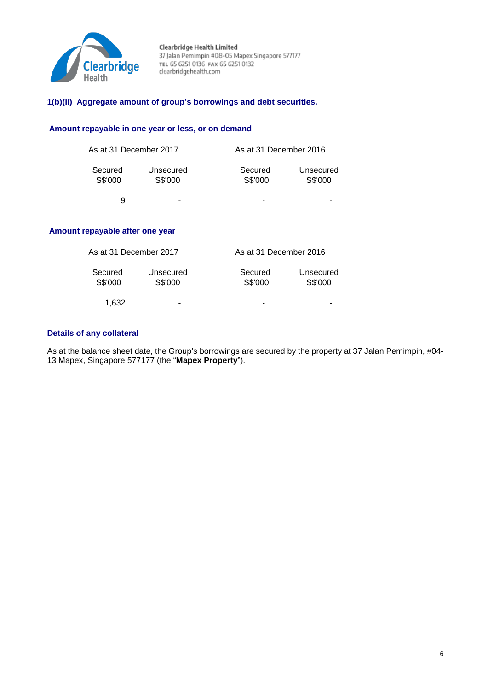

# **1(b)(ii) Aggregate amount of group's borrowings and debt securities.**

### **Amount repayable in one year or less, or on demand**

| As at 31 December 2017 |                      | As at 31 December 2016 |                      |  |  |
|------------------------|----------------------|------------------------|----------------------|--|--|
| Secured<br>S\$'000     | Unsecured<br>S\$'000 | Secured<br>S\$'000     | Unsecured<br>S\$'000 |  |  |
| я                      | -                    |                        |                      |  |  |

# **Amount repayable after one year**

| As at 31 December 2017 |                      | As at 31 December 2016 |                      |  |  |
|------------------------|----------------------|------------------------|----------------------|--|--|
| Secured<br>S\$'000     | Unsecured<br>S\$'000 | Secured<br>S\$'000     | Unsecured<br>S\$'000 |  |  |
| 1.632                  | -                    | -                      |                      |  |  |

# **Details of any collateral**

As at the balance sheet date, the Group's borrowings are secured by the property at 37 Jalan Pemimpin, #04-13 Mapex, Singapore 577177 (the "**Mapex Property**").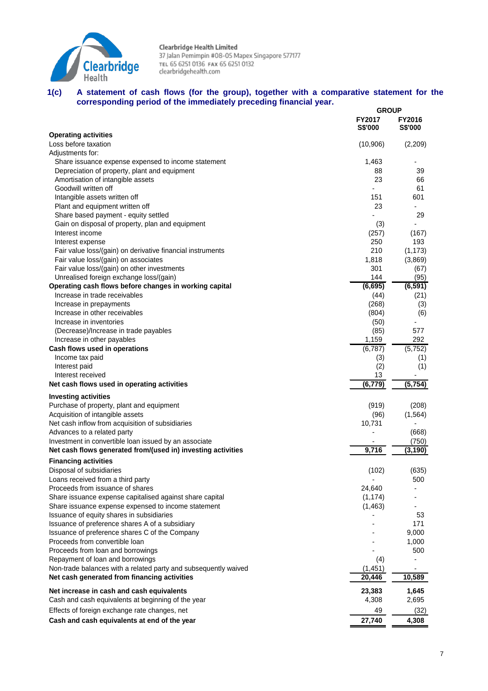

#### **1(c) A statement of cash flows (for the group), together with a comparative statement for the corresponding period of the immediately preceding financial year. GROUP**

|                                                                 | <b>GROUP</b>                    |                                 |
|-----------------------------------------------------------------|---------------------------------|---------------------------------|
|                                                                 | <b>FY2017</b><br><b>S\$'000</b> | <b>FY2016</b><br><b>S\$'000</b> |
| <b>Operating activities</b>                                     |                                 |                                 |
| Loss before taxation                                            | (10,906)                        | (2,209)                         |
| Adjustments for:                                                |                                 |                                 |
| Share issuance expense expensed to income statement             | 1,463                           |                                 |
| Depreciation of property, plant and equipment                   | 88                              | 39                              |
| Amortisation of intangible assets                               | 23                              | 66                              |
| Goodwill written off                                            |                                 | 61                              |
| Intangible assets written off                                   | 151                             | 601                             |
| Plant and equipment written off                                 | 23                              |                                 |
| Share based payment - equity settled                            |                                 | 29                              |
| Gain on disposal of property, plan and equipment                | (3)                             |                                 |
| Interest income                                                 | (257)                           | (167)                           |
| Interest expense                                                | 250                             | 193                             |
| Fair value loss/(gain) on derivative financial instruments      | 210                             | (1, 173)                        |
| Fair value loss/(gain) on associates                            | 1,818                           | (3,869)                         |
| Fair value loss/(gain) on other investments                     | 301                             | (67)                            |
| Unrealised foreign exchange loss/(gain)                         | 144                             | (95)                            |
| Operating cash flows before changes in working capital          | (6,695)                         | (6, 591)                        |
| Increase in trade receivables                                   | (44)                            | (21)                            |
| Increase in prepayments                                         | (268)                           | (3)                             |
| Increase in other receivables                                   | (804)                           | (6)                             |
| Increase in inventories                                         | (50)                            | 577                             |
| (Decrease)/Increase in trade payables                           | (85)<br>1,159                   | 292                             |
| Increase in other payables<br>Cash flows used in operations     | (6,787)                         | (5, 752)                        |
| Income tax paid                                                 |                                 |                                 |
| Interest paid                                                   | (3)<br>(2)                      | (1)<br>(1)                      |
| Interest received                                               | 13                              |                                 |
| Net cash flows used in operating activities                     | (6, 779)                        | (5, 754)                        |
| <b>Investing activities</b>                                     |                                 |                                 |
| Purchase of property, plant and equipment                       | (919)                           | (208)                           |
| Acquisition of intangible assets                                | (96)                            | (1, 564)                        |
| Net cash inflow from acquisition of subsidiaries                | 10,731                          |                                 |
| Advances to a related party                                     |                                 | (668)                           |
| Investment in convertible loan issued by an associate           |                                 | (750)                           |
| Net cash flows generated from/(used in) investing activities    | 9,716                           | (3, 190)                        |
| <b>Financing activities</b>                                     |                                 |                                 |
| Disposal of subsidiaries                                        | (102)                           | (635)                           |
| Loans received from a third party                               |                                 | 500                             |
| Proceeds from issuance of shares                                | 24,640                          |                                 |
| Share issuance expense capitalised against share capital        | (1, 174)                        |                                 |
| Share issuance expense expensed to income statement             | (1, 463)                        |                                 |
| Issuance of equity shares in subsidiaries                       |                                 | 53                              |
| Issuance of preference shares A of a subsidiary                 |                                 | 171                             |
| Issuance of preference shares C of the Company                  |                                 | 9,000                           |
| Proceeds from convertible loan                                  |                                 | 1,000                           |
| Proceeds from loan and borrowings                               |                                 | 500                             |
| Repayment of loan and borrowings                                | (4)                             |                                 |
| Non-trade balances with a related party and subsequently waived | (1, 451)                        |                                 |
| Net cash generated from financing activities                    | 20,446                          | 10,589                          |
| Net increase in cash and cash equivalents                       | 23,383                          | 1,645                           |
| Cash and cash equivalents at beginning of the year              | 4,308                           | 2,695                           |
| Effects of foreign exchange rate changes, net                   | 49                              | (32)                            |
| Cash and cash equivalents at end of the year                    | 27,740                          | 4,308                           |
|                                                                 |                                 |                                 |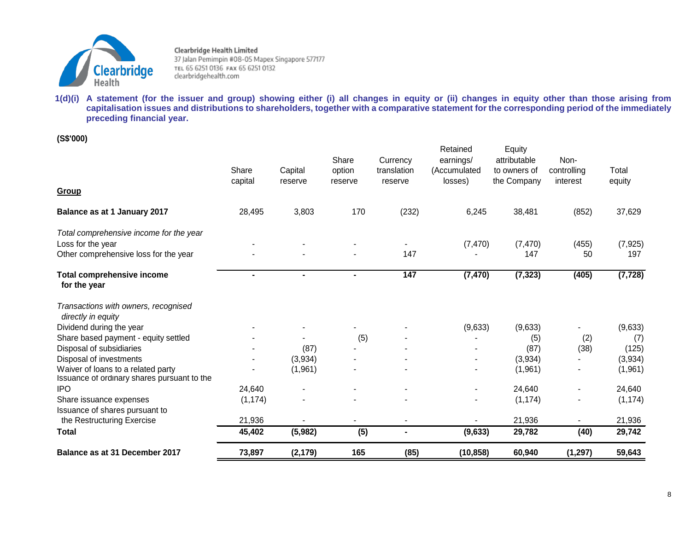

**1(d)(i) A statement (for the issuer and group) showing either (i) all changes in equity or (ii) changes in equity other than those arising from capitalisation issues and distributions to shareholders, together with a comparative statement for the corresponding period of the immediately preceding financial year.** 

**(S\$'000)**

| Balance as at 31 December 2017                                                         | 73,897           | (2, 179)           | 165                        | (85)                               | (10, 858)                                        | 60,940                                                | (1, 297)                        | 59,643          |
|----------------------------------------------------------------------------------------|------------------|--------------------|----------------------------|------------------------------------|--------------------------------------------------|-------------------------------------------------------|---------------------------------|-----------------|
| <b>Total</b>                                                                           | 45,402           | (5,982)            | (5)                        | $\blacksquare$                     | (9,633)                                          | 29,782                                                | (40)                            | 29,742          |
| Issuance of shares pursuant to<br>the Restructuring Exercise                           | 21,936           |                    |                            | $\blacksquare$                     |                                                  | 21,936                                                |                                 | 21,936          |
| Share issuance expenses                                                                | (1, 174)         |                    |                            |                                    |                                                  | (1, 174)                                              |                                 | (1, 174)        |
| <b>IPO</b>                                                                             | 24,640           |                    |                            |                                    |                                                  | 24,640                                                |                                 | 24,640          |
| Waiver of loans to a related party<br>Issuance of ordinary shares pursuant to the      |                  | (1,961)            |                            |                                    |                                                  | (1,961)                                               |                                 | (1,961)         |
| Disposal of investments                                                                |                  | (3,934)            |                            |                                    |                                                  | (3,934)                                               |                                 | (3,934)         |
| Disposal of subsidiaries                                                               |                  | (87)               |                            |                                    |                                                  | (87)                                                  | (38)                            | (125)           |
| Share based payment - equity settled                                                   |                  |                    | (5)                        |                                    |                                                  | (5)                                                   | (2)                             | (7)             |
| Transactions with owners, recognised<br>directly in equity<br>Dividend during the year |                  |                    |                            |                                    | (9,633)                                          | (9,633)                                               |                                 | (9,633)         |
| <b>Total comprehensive income</b><br>for the year                                      |                  | $\blacksquare$     |                            | 147                                | (7, 470)                                         | (7, 323)                                              | (405)                           | (7, 728)        |
| Loss for the year<br>Other comprehensive loss for the year                             |                  |                    |                            | 147                                | (7, 470)                                         | (7, 470)<br>147                                       | (455)<br>50                     | (7, 925)<br>197 |
| Total comprehensive income for the year                                                |                  |                    |                            |                                    |                                                  |                                                       |                                 |                 |
| Balance as at 1 January 2017                                                           | 28,495           | 3,803              | 170                        | (232)                              | 6,245                                            | 38,481                                                | (852)                           | 37,629          |
| Group                                                                                  |                  |                    |                            |                                    |                                                  |                                                       |                                 |                 |
|                                                                                        | Share<br>capital | Capital<br>reserve | Share<br>option<br>reserve | Currency<br>translation<br>reserve | Retained<br>earnings/<br>(Accumulated<br>losses) | Equity<br>attributable<br>to owners of<br>the Company | Non-<br>controlling<br>interest | Total<br>equity |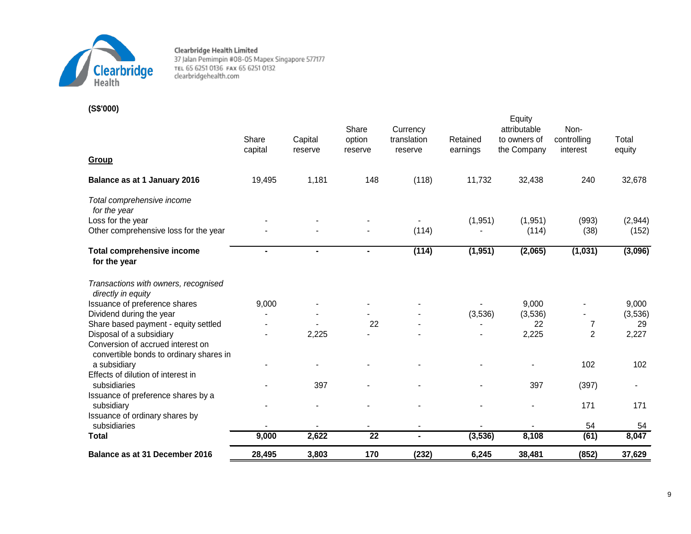

**(S\$'000)**

|                                                                              |                  |                    | Share             | Currency               |                      | Equity<br>attributable      | Non-                    |                 |
|------------------------------------------------------------------------------|------------------|--------------------|-------------------|------------------------|----------------------|-----------------------------|-------------------------|-----------------|
|                                                                              | Share<br>capital | Capital<br>reserve | option<br>reserve | translation<br>reserve | Retained<br>earnings | to owners of<br>the Company | controlling<br>interest | Total<br>equity |
| Group                                                                        |                  |                    |                   |                        |                      |                             |                         |                 |
| Balance as at 1 January 2016                                                 | 19,495           | 1,181              | 148               | (118)                  | 11,732               | 32,438                      | 240                     | 32,678          |
| Total comprehensive income<br>for the year                                   |                  |                    |                   |                        |                      |                             |                         |                 |
| Loss for the year                                                            |                  |                    |                   |                        | (1, 951)             | (1,951)                     | (993)                   | (2,944)         |
| Other comprehensive loss for the year                                        |                  |                    |                   | (114)                  |                      | (114)                       | (38)                    | (152)           |
| <b>Total comprehensive income</b><br>for the year                            | $\blacksquare$   | $\blacksquare$     | $\blacksquare$    | (114)                  | (1, 951)             | (2,065)                     | (1,031)                 | (3,096)         |
| Transactions with owners, recognised<br>directly in equity                   |                  |                    |                   |                        |                      |                             |                         |                 |
| Issuance of preference shares                                                | 9,000            |                    |                   |                        |                      | 9,000                       |                         | 9,000           |
| Dividend during the year                                                     |                  |                    |                   |                        | (3,536)              | (3,536)                     |                         | (3,536)         |
| Share based payment - equity settled                                         |                  |                    | 22                |                        |                      | 22                          | 7                       | 29              |
| Disposal of a subsidiary                                                     |                  | 2,225              |                   |                        |                      | 2,225                       | $\overline{2}$          | 2,227           |
| Conversion of accrued interest on<br>convertible bonds to ordinary shares in |                  |                    |                   |                        |                      |                             |                         |                 |
| a subsidiary                                                                 |                  |                    |                   |                        |                      |                             | 102                     | 102             |
| Effects of dilution of interest in                                           |                  |                    |                   |                        |                      |                             |                         |                 |
| subsidiaries                                                                 |                  | 397                |                   |                        |                      | 397                         | (397)                   | $\blacksquare$  |
| Issuance of preference shares by a                                           |                  |                    |                   |                        |                      |                             |                         |                 |
| subsidiary                                                                   |                  |                    | ۰                 |                        |                      | $\blacksquare$              | 171                     | 171             |
| Issuance of ordinary shares by                                               |                  |                    |                   |                        |                      |                             |                         |                 |
| subsidiaries                                                                 |                  |                    |                   | $\blacksquare$         |                      |                             | 54                      | 54              |
| <b>Total</b>                                                                 | 9,000            | 2,622              | $\overline{22}$   | $\blacksquare$         | (3, 536)             | 8,108                       | (61)                    | 8,047           |
| Balance as at 31 December 2016                                               | 28,495           | 3,803              | 170               | (232)                  | 6,245                | 38,481                      | (852)                   | 37,629          |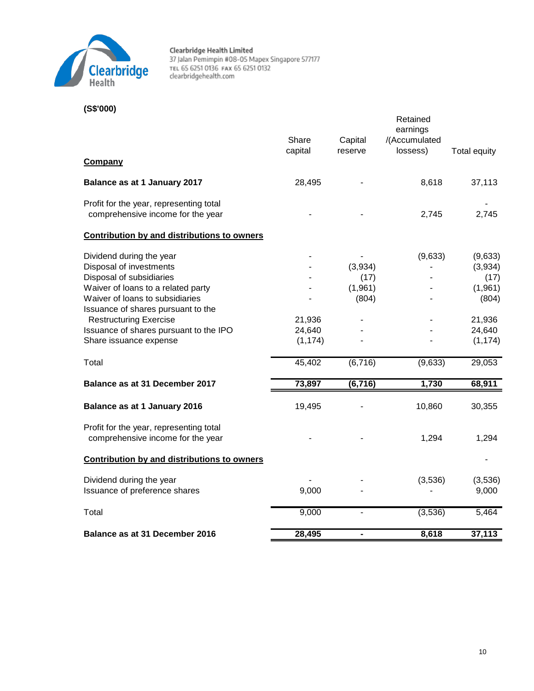

# **(S\$'000)**

|                                                                              | Share<br>capital   | Capital<br>reserve | Retained<br>earnings<br>/(Accumulated<br>lossess) | Total equity       |
|------------------------------------------------------------------------------|--------------------|--------------------|---------------------------------------------------|--------------------|
| Company                                                                      |                    |                    |                                                   |                    |
| Balance as at 1 January 2017                                                 | 28,495             |                    | 8,618                                             | 37,113             |
| Profit for the year, representing total<br>comprehensive income for the year |                    |                    | 2,745                                             | 2,745              |
| <b>Contribution by and distributions to owners</b>                           |                    |                    |                                                   |                    |
| Dividend during the year<br>Disposal of investments                          |                    | (3,934)            | (9,633)                                           | (9,633)<br>(3,934) |
| Disposal of subsidiaries<br>Waiver of loans to a related party               |                    | (17)<br>(1,961)    |                                                   | (17)<br>(1, 961)   |
| Waiver of loans to subsidiaries<br>Issuance of shares pursuant to the        |                    | (804)              |                                                   | (804)              |
| <b>Restructuring Exercise</b>                                                | 21,936             |                    |                                                   | 21,936             |
| Issuance of shares pursuant to the IPO<br>Share issuance expense             | 24,640<br>(1, 174) |                    |                                                   | 24,640<br>(1, 174) |
| Total                                                                        | 45,402             | (6, 716)           | (9,633)                                           | 29,053             |
| Balance as at 31 December 2017                                               | 73,897             | (6, 716)           | 1,730                                             | 68,911             |
| Balance as at 1 January 2016                                                 | 19,495             |                    | 10,860                                            | 30,355             |
| Profit for the year, representing total<br>comprehensive income for the year |                    |                    | 1,294                                             | 1,294              |
| <b>Contribution by and distributions to owners</b>                           |                    |                    |                                                   |                    |
| Dividend during the year<br>Issuance of preference shares                    | 9,000              |                    | (3,536)                                           | (3,536)<br>9,000   |
| Total                                                                        | 9,000              |                    | (3,536)                                           | 5,464              |
| Balance as at 31 December 2016                                               | 28,495             |                    | 8,618                                             | 37,113             |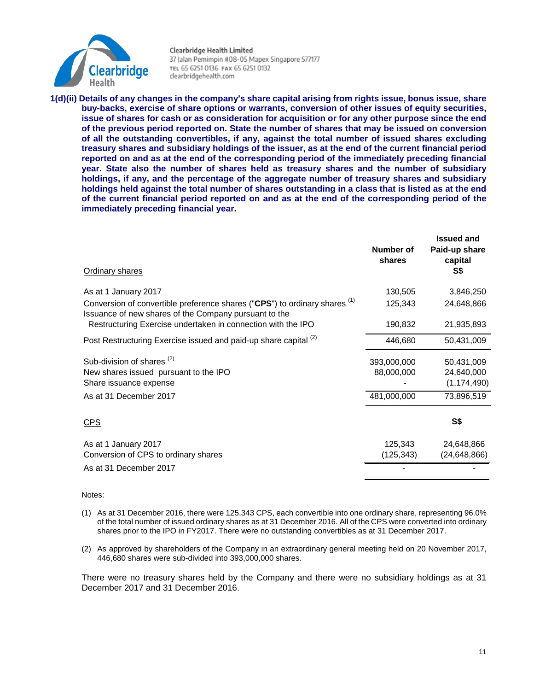

**1(d)(ii) Details of any changes in the company's share capital arising from rights issue, bonus issue, share buy-backs, exercise of share options or warrants, conversion of other issues of equity securities, issue of shares for cash or as consideration for acquisition or for any other purpose since the end of the previous period reported on. State the number of shares that may be issued on conversion of all the outstanding convertibles, if any, against the total number of issued shares excluding treasury shares and subsidiary holdings of the issuer, as at the end of the current financial period reported on and as at the end of the corresponding period of the immediately preceding financial year. State also the number of shares held as treasury shares and the number of subsidiary holdings, if any, and the percentage of the aggregate number of treasury shares and subsidiary holdings held against the total number of shares outstanding in a class that is listed as at the end of the current financial period reported on and as at the end of the corresponding period of the immediately preceding financial year.**

| <b>Ordinary shares</b>                                                                                                              | Number of<br>shares | <b>Issued and</b><br>Paid-up share<br>capital<br>S\$ |
|-------------------------------------------------------------------------------------------------------------------------------------|---------------------|------------------------------------------------------|
| As at 1 January 2017                                                                                                                | 130,505             | 3,846,250                                            |
| Conversion of convertible preference shares ("CPS") to ordinary shares (1)<br>Issuance of new shares of the Company pursuant to the | 125,343             | 24,648,866                                           |
| Restructuring Exercise undertaken in connection with the IPO                                                                        | 190,832             | 21,935,893                                           |
| Post Restructuring Exercise issued and paid-up share capital (2)                                                                    | 446,680             | 50,431,009                                           |
| Sub-division of shares <sup>(2)</sup>                                                                                               | 393,000,000         | 50,431,009                                           |
| New shares issued pursuant to the IPO                                                                                               | 88,000,000          | 24,640,000                                           |
| Share issuance expense                                                                                                              |                     | (1, 174, 490)                                        |
| As at 31 December 2017                                                                                                              | 481,000,000         | 73,896,519                                           |
| <b>CPS</b>                                                                                                                          |                     | <b>S\$</b>                                           |
| As at 1 January 2017                                                                                                                | 125,343             | 24,648,866                                           |
| Conversion of CPS to ordinary shares                                                                                                | (125, 343)          | (24, 648, 866)                                       |
| As at 31 December 2017                                                                                                              |                     |                                                      |

#### Notes:

- (1) As at 31 December 2016, there were 125,343 CPS, each convertible into one ordinary share, representing 96.0% of the total number of issued ordinary shares as at 31 December 2016. All of the CPS were converted into ordinary shares prior to the IPO in FY2017. There were no outstanding convertibles as at 31 December 2017.
- (2) As approved by shareholders of the Company in an extraordinary general meeting held on 20 November 2017, 446,680 shares were sub-divided into 393,000,000 shares.

There were no treasury shares held by the Company and there were no subsidiary holdings as at 31 December 2017 and 31 December 2016.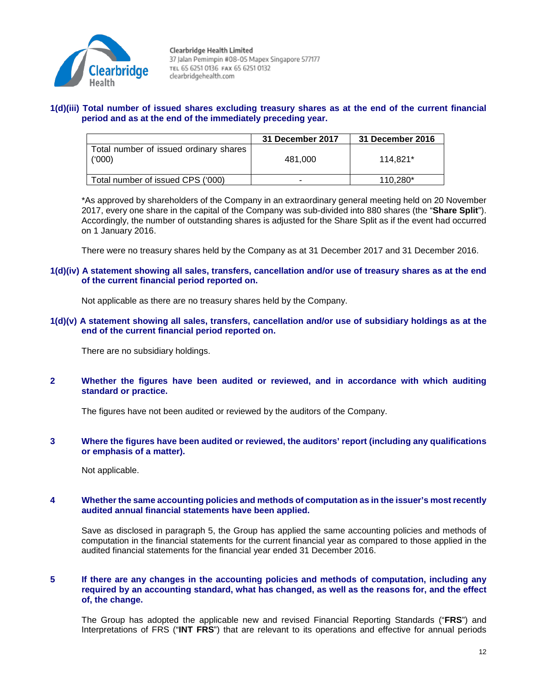

# **1(d)(iii) Total number of issued shares excluding treasury shares as at the end of the current financial period and as at the end of the immediately preceding year.**

|                                                  | 31 December 2017 | 31 December 2016 |
|--------------------------------------------------|------------------|------------------|
| Total number of issued ordinary shares<br>(1000) | 481.000          | 114.821*         |
| Total number of issued CPS ('000)                | $\blacksquare$   | 110.280*         |

\*As approved by shareholders of the Company in an extraordinary general meeting held on 20 November 2017, every one share in the capital of the Company was sub-divided into 880 shares (the "**Share Split**"). Accordingly, the number of outstanding shares is adjusted for the Share Split as if the event had occurred on 1 January 2016.

There were no treasury shares held by the Company as at 31 December 2017 and 31 December 2016.

**1(d)(iv) A statement showing all sales, transfers, cancellation and/or use of treasury shares as at the end of the current financial period reported on.** 

Not applicable as there are no treasury shares held by the Company.

**1(d)(v) A statement showing all sales, transfers, cancellation and/or use of subsidiary holdings as at the end of the current financial period reported on.** 

There are no subsidiary holdings.

**2 Whether the figures have been audited or reviewed, and in accordance with which auditing standard or practice.**

The figures have not been audited or reviewed by the auditors of the Company.

**3 Where the figures have been audited or reviewed, the auditors' report (including any qualifications or emphasis of a matter).**

Not applicable.

### **4 Whether the same accounting policies and methods of computation as in the issuer's most recently audited annual financial statements have been applied.**

Save as disclosed in paragraph 5, the Group has applied the same accounting policies and methods of computation in the financial statements for the current financial year as compared to those applied in the audited financial statements for the financial year ended 31 December 2016.

**5 If there are any changes in the accounting policies and methods of computation, including any required by an accounting standard, what has changed, as well as the reasons for, and the effect of, the change.**

The Group has adopted the applicable new and revised Financial Reporting Standards ("**FRS**") and Interpretations of FRS ("**INT FRS**") that are relevant to its operations and effective for annual periods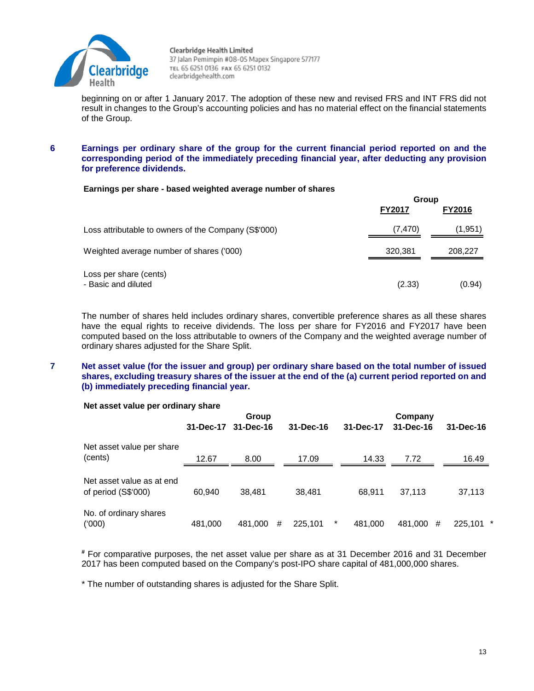

beginning on or after 1 January 2017. The adoption of these new and revised FRS and INT FRS did not result in changes to the Group's accounting policies and has no material effect on the financial statements of the Group.

### **6 Earnings per ordinary share of the group for the current financial period reported on and the corresponding period of the immediately preceding financial year, after deducting any provision for preference dividends.**

#### **Earnings per share - based weighted average number of shares**

|                                                      | Group         |               |  |
|------------------------------------------------------|---------------|---------------|--|
|                                                      | <b>FY2017</b> | <b>FY2016</b> |  |
| Loss attributable to owners of the Company (S\$'000) | (7, 470)      | (1,951)       |  |
| Weighted average number of shares ('000)             | 320,381       | 208,227       |  |
| Loss per share (cents)<br>- Basic and diluted        | (2.33)        | (0.94)        |  |

The number of shares held includes ordinary shares, convertible preference shares as all these shares have the equal rights to receive dividends. The loss per share for FY2016 and FY2017 have been computed based on the loss attributable to owners of the Company and the weighted average number of ordinary shares adjusted for the Share Split.

### **7 Net asset value (for the issuer and group) per ordinary share based on the total number of issued shares, excluding treasury shares of the issuer at the end of the (a) current period reported on and (b) immediately preceding financial year.**

#### **Net asset value per ordinary share**

|                                                          | Group               |         |   |                 | Company |           |           |   |                 |  |
|----------------------------------------------------------|---------------------|---------|---|-----------------|---------|-----------|-----------|---|-----------------|--|
|                                                          | 31-Dec-17 31-Dec-16 |         |   | $31 - Dec - 16$ |         | 31-Dec-17 | 31-Dec-16 |   | $31 - Dec - 16$ |  |
| Net asset value per share                                |                     |         |   |                 |         |           |           |   |                 |  |
| (cents)                                                  | 12.67               | 8.00    |   | 17.09           |         | 14.33     | 7.72      |   | 16.49           |  |
| Net asset value as at end<br>of period $(S$^{\circ}000)$ | 60.940              | 38.481  |   | 38.481          |         | 68.911    | 37.113    |   | 37,113          |  |
| No. of ordinary shares<br>(000)                          | 481,000             | 481.000 | # | 225.101         | *       | 481,000   | 481,000   | # | $225,101$ *     |  |

**#** For comparative purposes, the net asset value per share as at 31 December 2016 and 31 December 2017 has been computed based on the Company's post-IPO share capital of 481,000,000 shares.

\* The number of outstanding shares is adjusted for the Share Split.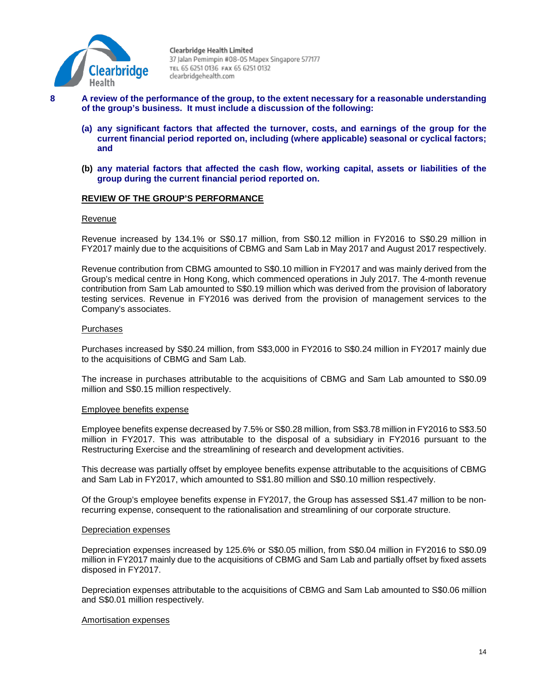

- 
- **8 A review of the performance of the group, to the extent necessary for a reasonable understanding of the group's business. It must include a discussion of the following:**
	- **(a) any significant factors that affected the turnover, costs, and earnings of the group for the current financial period reported on, including (where applicable) seasonal or cyclical factors; and**
	- **(b) any material factors that affected the cash flow, working capital, assets or liabilities of the group during the current financial period reported on.**

# **REVIEW OF THE GROUP'S PERFORMANCE**

#### Revenue

Revenue increased by 134.1% or S\$0.17 million, from S\$0.12 million in FY2016 to S\$0.29 million in FY2017 mainly due to the acquisitions of CBMG and Sam Lab in May 2017 and August 2017 respectively.

Revenue contribution from CBMG amounted to S\$0.10 million in FY2017 and was mainly derived from the Group's medical centre in Hong Kong, which commenced operations in July 2017. The 4-month revenue contribution from Sam Lab amounted to S\$0.19 million which was derived from the provision of laboratory testing services. Revenue in FY2016 was derived from the provision of management services to the Company's associates.

### Purchases

Purchases increased by S\$0.24 million, from S\$3,000 in FY2016 to S\$0.24 million in FY2017 mainly due to the acquisitions of CBMG and Sam Lab.

The increase in purchases attributable to the acquisitions of CBMG and Sam Lab amounted to S\$0.09 million and S\$0.15 million respectively.

#### Employee benefits expense

Employee benefits expense decreased by 7.5% or S\$0.28 million, from S\$3.78 million in FY2016 to S\$3.50 million in FY2017. This was attributable to the disposal of a subsidiary in FY2016 pursuant to the Restructuring Exercise and the streamlining of research and development activities.

This decrease was partially offset by employee benefits expense attributable to the acquisitions of CBMG and Sam Lab in FY2017, which amounted to S\$1.80 million and S\$0.10 million respectively.

Of the Group's employee benefits expense in FY2017, the Group has assessed S\$1.47 million to be nonrecurring expense, consequent to the rationalisation and streamlining of our corporate structure.

#### Depreciation expenses

Depreciation expenses increased by 125.6% or S\$0.05 million, from S\$0.04 million in FY2016 to S\$0.09 million in FY2017 mainly due to the acquisitions of CBMG and Sam Lab and partially offset by fixed assets disposed in FY2017.

Depreciation expenses attributable to the acquisitions of CBMG and Sam Lab amounted to S\$0.06 million and S\$0.01 million respectively.

#### Amortisation expenses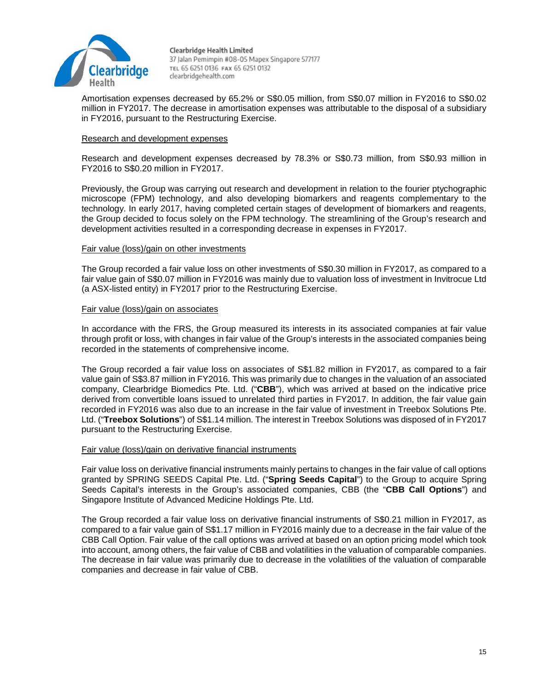

Amortisation expenses decreased by 65.2% or S\$0.05 million, from S\$0.07 million in FY2016 to S\$0.02 million in FY2017. The decrease in amortisation expenses was attributable to the disposal of a subsidiary in FY2016, pursuant to the Restructuring Exercise.

### Research and development expenses

Research and development expenses decreased by 78.3% or S\$0.73 million, from S\$0.93 million in FY2016 to S\$0.20 million in FY2017.

Previously, the Group was carrying out research and development in relation to the fourier ptychographic microscope (FPM) technology, and also developing biomarkers and reagents complementary to the technology. In early 2017, having completed certain stages of development of biomarkers and reagents, the Group decided to focus solely on the FPM technology. The streamlining of the Group's research and development activities resulted in a corresponding decrease in expenses in FY2017.

### Fair value (loss)/gain on other investments

The Group recorded a fair value loss on other investments of S\$0.30 million in FY2017, as compared to a fair value gain of S\$0.07 million in FY2016 was mainly due to valuation loss of investment in Invitrocue Ltd (a ASX-listed entity) in FY2017 prior to the Restructuring Exercise.

### Fair value (loss)/gain on associates

In accordance with the FRS, the Group measured its interests in its associated companies at fair value through profit or loss, with changes in fair value of the Group's interests in the associated companies being recorded in the statements of comprehensive income.

The Group recorded a fair value loss on associates of S\$1.82 million in FY2017, as compared to a fair value gain of S\$3.87 million in FY2016. This was primarily due to changes in the valuation of an associated company, Clearbridge Biomedics Pte. Ltd. ("**CBB**"), which was arrived at based on the indicative price derived from convertible loans issued to unrelated third parties in FY2017. In addition, the fair value gain recorded in FY2016 was also due to an increase in the fair value of investment in Treebox Solutions Pte. Ltd. ("**Treebox Solutions**") of S\$1.14 million. The interest in Treebox Solutions was disposed of in FY2017 pursuant to the Restructuring Exercise.

#### Fair value (loss)/gain on derivative financial instruments

Fair value loss on derivative financial instruments mainly pertains to changes in the fair value of call options granted by SPRING SEEDS Capital Pte. Ltd. ("**Spring Seeds Capital**") to the Group to acquire Spring Seeds Capital's interests in the Group's associated companies, CBB (the "**CBB Call Options**") and Singapore Institute of Advanced Medicine Holdings Pte. Ltd.

The Group recorded a fair value loss on derivative financial instruments of S\$0.21 million in FY2017, as compared to a fair value gain of S\$1.17 million in FY2016 mainly due to a decrease in the fair value of the CBB Call Option. Fair value of the call options was arrived at based on an option pricing model which took into account, among others, the fair value of CBB and volatilities in the valuation of comparable companies. The decrease in fair value was primarily due to decrease in the volatilities of the valuation of comparable companies and decrease in fair value of CBB.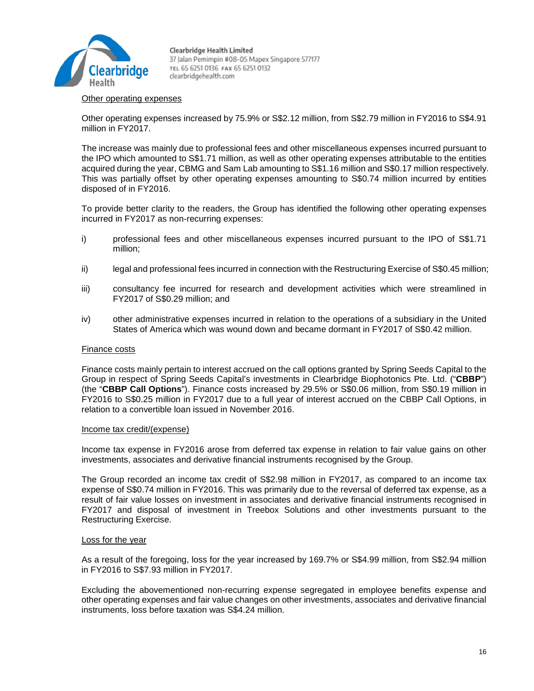

### Other operating expenses

Other operating expenses increased by 75.9% or S\$2.12 million, from S\$2.79 million in FY2016 to S\$4.91 million in FY2017.

The increase was mainly due to professional fees and other miscellaneous expenses incurred pursuant to the IPO which amounted to S\$1.71 million, as well as other operating expenses attributable to the entities acquired during the year, CBMG and Sam Lab amounting to S\$1.16 million and S\$0.17 million respectively. This was partially offset by other operating expenses amounting to S\$0.74 million incurred by entities disposed of in FY2016.

To provide better clarity to the readers, the Group has identified the following other operating expenses incurred in FY2017 as non-recurring expenses:

- i) professional fees and other miscellaneous expenses incurred pursuant to the IPO of S\$1.71 million;
- ii) legal and professional fees incurred in connection with the Restructuring Exercise of S\$0.45 million;
- iii) consultancy fee incurred for research and development activities which were streamlined in FY2017 of S\$0.29 million; and
- iv) other administrative expenses incurred in relation to the operations of a subsidiary in the United States of America which was wound down and became dormant in FY2017 of S\$0.42 million.

#### Finance costs

Finance costs mainly pertain to interest accrued on the call options granted by Spring Seeds Capital to the Group in respect of Spring Seeds Capital's investments in Clearbridge Biophotonics Pte. Ltd. ("**CBBP**") (the "**CBBP Call Options**"). Finance costs increased by 29.5% or S\$0.06 million, from S\$0.19 million in FY2016 to S\$0.25 million in FY2017 due to a full year of interest accrued on the CBBP Call Options, in relation to a convertible loan issued in November 2016.

### Income tax credit/(expense)

Income tax expense in FY2016 arose from deferred tax expense in relation to fair value gains on other investments, associates and derivative financial instruments recognised by the Group.

The Group recorded an income tax credit of S\$2.98 million in FY2017, as compared to an income tax expense of S\$0.74 million in FY2016. This was primarily due to the reversal of deferred tax expense, as a result of fair value losses on investment in associates and derivative financial instruments recognised in FY2017 and disposal of investment in Treebox Solutions and other investments pursuant to the Restructuring Exercise.

### Loss for the year

As a result of the foregoing, loss for the year increased by 169.7% or S\$4.99 million, from S\$2.94 million in FY2016 to S\$7.93 million in FY2017.

Excluding the abovementioned non-recurring expense segregated in employee benefits expense and other operating expenses and fair value changes on other investments, associates and derivative financial instruments, loss before taxation was S\$4.24 million.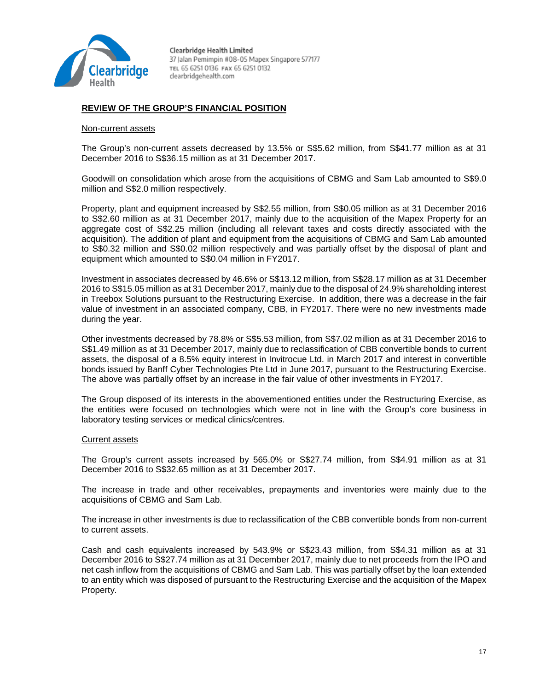

# **REVIEW OF THE GROUP'S FINANCIAL POSITION**

#### Non-current assets

The Group's non-current assets decreased by 13.5% or S\$5.62 million, from S\$41.77 million as at 31 December 2016 to S\$36.15 million as at 31 December 2017.

Goodwill on consolidation which arose from the acquisitions of CBMG and Sam Lab amounted to S\$9.0 million and S\$2.0 million respectively.

Property, plant and equipment increased by S\$2.55 million, from S\$0.05 million as at 31 December 2016 to S\$2.60 million as at 31 December 2017, mainly due to the acquisition of the Mapex Property for an aggregate cost of S\$2.25 million (including all relevant taxes and costs directly associated with the acquisition). The addition of plant and equipment from the acquisitions of CBMG and Sam Lab amounted to S\$0.32 million and S\$0.02 million respectively and was partially offset by the disposal of plant and equipment which amounted to S\$0.04 million in FY2017.

Investment in associates decreased by 46.6% or S\$13.12 million, from S\$28.17 million as at 31 December 2016 to S\$15.05 million as at 31 December 2017, mainly due to the disposal of 24.9% shareholding interest in Treebox Solutions pursuant to the Restructuring Exercise. In addition, there was a decrease in the fair value of investment in an associated company, CBB, in FY2017. There were no new investments made during the year.

Other investments decreased by 78.8% or S\$5.53 million, from S\$7.02 million as at 31 December 2016 to S\$1.49 million as at 31 December 2017, mainly due to reclassification of CBB convertible bonds to current assets, the disposal of a 8.5% equity interest in Invitrocue Ltd. in March 2017 and interest in convertible bonds issued by Banff Cyber Technologies Pte Ltd in June 2017, pursuant to the Restructuring Exercise. The above was partially offset by an increase in the fair value of other investments in FY2017.

The Group disposed of its interests in the abovementioned entities under the Restructuring Exercise, as the entities were focused on technologies which were not in line with the Group's core business in laboratory testing services or medical clinics/centres.

#### Current assets

The Group's current assets increased by 565.0% or S\$27.74 million, from S\$4.91 million as at 31 December 2016 to S\$32.65 million as at 31 December 2017.

The increase in trade and other receivables, prepayments and inventories were mainly due to the acquisitions of CBMG and Sam Lab.

The increase in other investments is due to reclassification of the CBB convertible bonds from non-current to current assets.

Cash and cash equivalents increased by 543.9% or S\$23.43 million, from S\$4.31 million as at 31 December 2016 to S\$27.74 million as at 31 December 2017, mainly due to net proceeds from the IPO and net cash inflow from the acquisitions of CBMG and Sam Lab. This was partially offset by the loan extended to an entity which was disposed of pursuant to the Restructuring Exercise and the acquisition of the Mapex Property.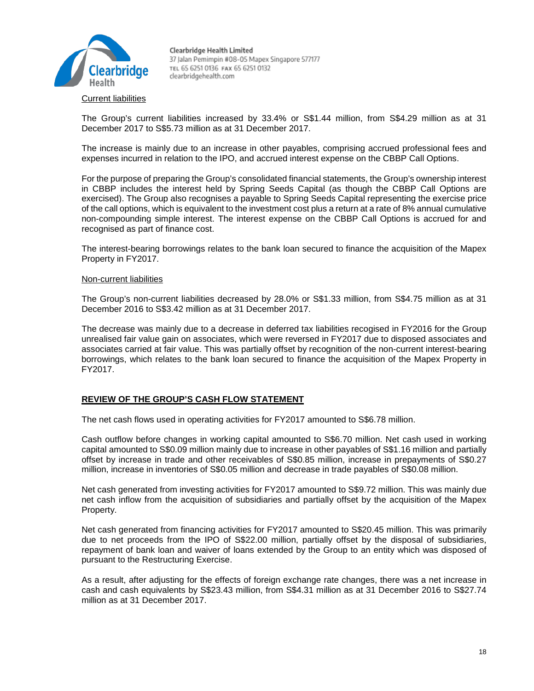

The Group's current liabilities increased by 33.4% or S\$1.44 million, from S\$4.29 million as at 31 December 2017 to S\$5.73 million as at 31 December 2017.

The increase is mainly due to an increase in other payables, comprising accrued professional fees and expenses incurred in relation to the IPO, and accrued interest expense on the CBBP Call Options.

For the purpose of preparing the Group's consolidated financial statements, the Group's ownership interest in CBBP includes the interest held by Spring Seeds Capital (as though the CBBP Call Options are exercised). The Group also recognises a payable to Spring Seeds Capital representing the exercise price of the call options, which is equivalent to the investment cost plus a return at a rate of 8% annual cumulative non-compounding simple interest. The interest expense on the CBBP Call Options is accrued for and recognised as part of finance cost.

The interest-bearing borrowings relates to the bank loan secured to finance the acquisition of the Mapex Property in FY2017.

#### Non-current liabilities

The Group's non-current liabilities decreased by 28.0% or S\$1.33 million, from S\$4.75 million as at 31 December 2016 to S\$3.42 million as at 31 December 2017.

The decrease was mainly due to a decrease in deferred tax liabilities recogised in FY2016 for the Group unrealised fair value gain on associates, which were reversed in FY2017 due to disposed associates and associates carried at fair value. This was partially offset by recognition of the non-current interest-bearing borrowings, which relates to the bank loan secured to finance the acquisition of the Mapex Property in FY2017.

### **REVIEW OF THE GROUP'S CASH FLOW STATEMENT**

The net cash flows used in operating activities for FY2017 amounted to S\$6.78 million.

Cash outflow before changes in working capital amounted to S\$6.70 million. Net cash used in working capital amounted to S\$0.09 million mainly due to increase in other payables of S\$1.16 million and partially offset by increase in trade and other receivables of S\$0.85 million, increase in prepayments of S\$0.27 million, increase in inventories of S\$0.05 million and decrease in trade payables of S\$0.08 million.

Net cash generated from investing activities for FY2017 amounted to S\$9.72 million. This was mainly due net cash inflow from the acquisition of subsidiaries and partially offset by the acquisition of the Mapex Property.

Net cash generated from financing activities for FY2017 amounted to S\$20.45 million. This was primarily due to net proceeds from the IPO of S\$22.00 million, partially offset by the disposal of subsidiaries, repayment of bank loan and waiver of loans extended by the Group to an entity which was disposed of pursuant to the Restructuring Exercise.

As a result, after adjusting for the effects of foreign exchange rate changes, there was a net increase in cash and cash equivalents by S\$23.43 million, from S\$4.31 million as at 31 December 2016 to S\$27.74 million as at 31 December 2017.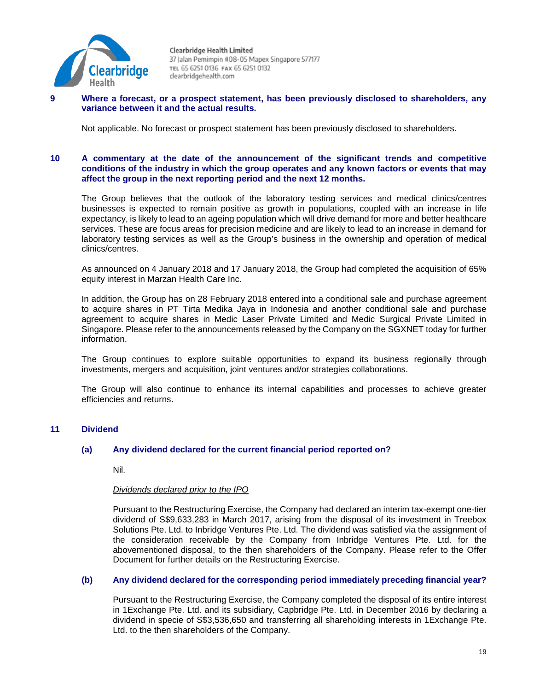

### **9 Where a forecast, or a prospect statement, has been previously disclosed to shareholders, any variance between it and the actual results.**

Not applicable. No forecast or prospect statement has been previously disclosed to shareholders.

### **10 A commentary at the date of the announcement of the significant trends and competitive conditions of the industry in which the group operates and any known factors or events that may affect the group in the next reporting period and the next 12 months.**

The Group believes that the outlook of the laboratory testing services and medical clinics/centres businesses is expected to remain positive as growth in populations, coupled with an increase in life expectancy, is likely to lead to an ageing population which will drive demand for more and better healthcare services. These are focus areas for precision medicine and are likely to lead to an increase in demand for laboratory testing services as well as the Group's business in the ownership and operation of medical clinics/centres.

As announced on 4 January 2018 and 17 January 2018, the Group had completed the acquisition of 65% equity interest in Marzan Health Care Inc.

In addition, the Group has on 28 February 2018 entered into a conditional sale and purchase agreement to acquire shares in PT Tirta Medika Jaya in Indonesia and another conditional sale and purchase agreement to acquire shares in Medic Laser Private Limited and Medic Surgical Private Limited in Singapore. Please refer to the announcements released by the Company on the SGXNET today for further information.

The Group continues to explore suitable opportunities to expand its business regionally through investments, mergers and acquisition, joint ventures and/or strategies collaborations.

The Group will also continue to enhance its internal capabilities and processes to achieve greater efficiencies and returns.

# **11 Dividend**

### **(a) Any dividend declared for the current financial period reported on?**

Nil.

#### *Dividends declared prior to the IPO*

Pursuant to the Restructuring Exercise, the Company had declared an interim tax-exempt one-tier dividend of S\$9,633,283 in March 2017, arising from the disposal of its investment in Treebox Solutions Pte. Ltd. to Inbridge Ventures Pte. Ltd. The dividend was satisfied via the assignment of the consideration receivable by the Company from Inbridge Ventures Pte. Ltd. for the abovementioned disposal, to the then shareholders of the Company. Please refer to the Offer Document for further details on the Restructuring Exercise.

### **(b) Any dividend declared for the corresponding period immediately preceding financial year?**

Pursuant to the Restructuring Exercise, the Company completed the disposal of its entire interest in 1Exchange Pte. Ltd. and its subsidiary, Capbridge Pte. Ltd. in December 2016 by declaring a dividend in specie of S\$3,536,650 and transferring all shareholding interests in 1Exchange Pte. Ltd. to the then shareholders of the Company.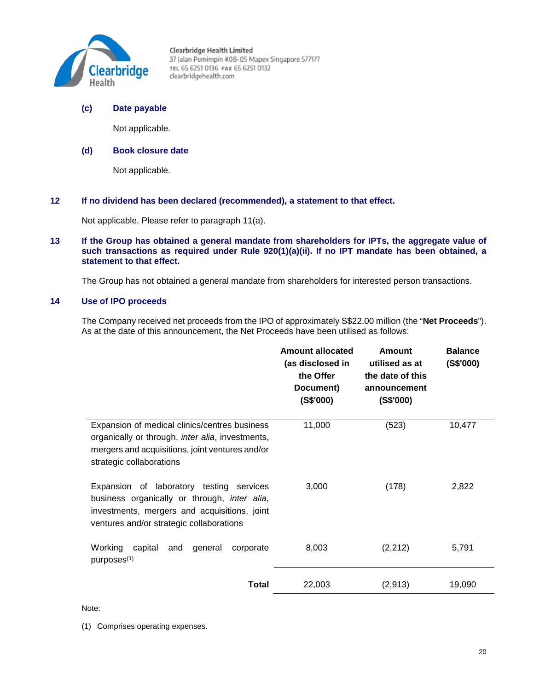

# **(c) Date payable**

Not applicable.

# **(d) Book closure date**

Not applicable.

### **12 If no dividend has been declared (recommended), a statement to that effect.**

Not applicable. Please refer to paragraph 11(a).

### **13 If the Group has obtained a general mandate from shareholders for IPTs, the aggregate value of such transactions as required under Rule 920(1)(a)(ii). If no IPT mandate has been obtained, a statement to that effect.**

The Group has not obtained a general mandate from shareholders for interested person transactions.

# **14 Use of IPO proceeds**

The Company received net proceeds from the IPO of approximately S\$22.00 million (the "**Net Proceeds**"). As at the date of this announcement, the Net Proceeds have been utilised as follows:

|                                                                                                                                                                                              | <b>Amount allocated</b><br>(as disclosed in<br>the Offer<br>Document)<br>(S\$'000) | Amount<br>utilised as at<br>the date of this<br>announcement<br>(S\$'000) | <b>Balance</b><br>(S\$'000) |
|----------------------------------------------------------------------------------------------------------------------------------------------------------------------------------------------|------------------------------------------------------------------------------------|---------------------------------------------------------------------------|-----------------------------|
| Expansion of medical clinics/centres business<br>organically or through, inter alia, investments,<br>mergers and acquisitions, joint ventures and/or<br>strategic collaborations             | 11,000                                                                             | (523)                                                                     | 10,477                      |
| Expansion of laboratory testing services<br>business organically or through, <i>inter alia</i> ,<br>investments, mergers and acquisitions, joint<br>ventures and/or strategic collaborations | 3,000                                                                              | (178)                                                                     | 2,822                       |
| Working<br>capital<br>and<br>general<br>corporate<br>purposes <sup>(1)</sup>                                                                                                                 | 8,003                                                                              | (2, 212)                                                                  | 5,791                       |
| Total                                                                                                                                                                                        | 22,003                                                                             | (2,913)                                                                   | 19,090                      |

Note:

(1) Comprises operating expenses.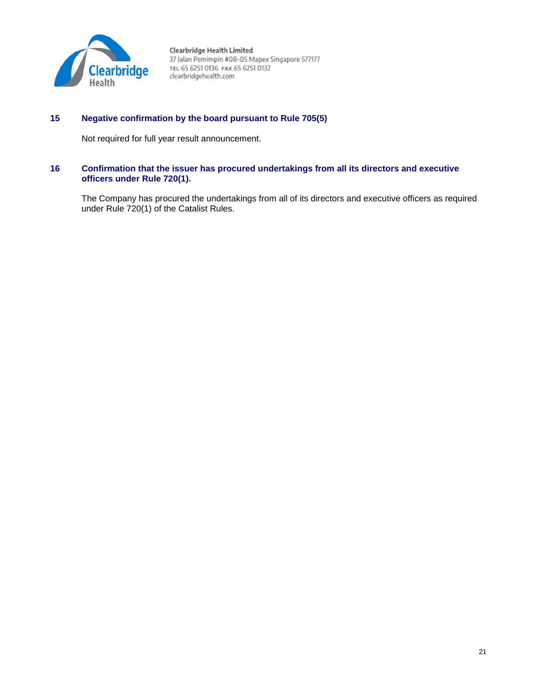

# **15 Negative confirmation by the board pursuant to Rule 705(5)**

Not required for full year result announcement.

# **16 Confirmation that the issuer has procured undertakings from all its directors and executive officers under Rule 720(1).**

The Company has procured the undertakings from all of its directors and executive officers as required under Rule 720(1) of the Catalist Rules.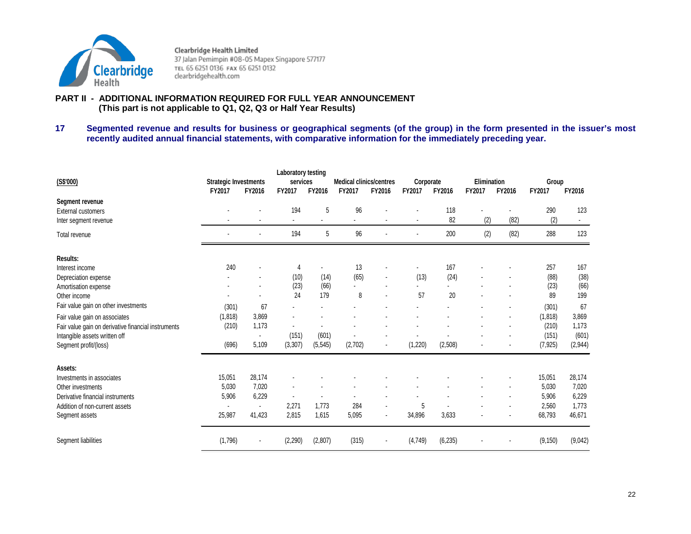

# **PART II - ADDITIONAL INFORMATION REQUIRED FOR FULL YEAR ANNOUNCEMENT (This part is not applicable to Q1, Q2, Q3 or Half Year Results)**

**17 Segmented revenue and results for business or geographical segments (of the group) in the form presented in the issuer's most recently audited annual financial statements, with comparative information for the immediately preceding year.**

| (S\$'000)                                           | <b>Strategic Investments</b><br>FY2017 | FY2016         | Laboratory testing<br>services<br>FY2017 | FY2016   | <b>Medical clinics/centres</b><br>FY2017 | FY2016         | Corporate<br>FY2017 | FY2016    | Elimination<br>FY2017 | FY2016 | Group<br>FY2017 | FY2016  |
|-----------------------------------------------------|----------------------------------------|----------------|------------------------------------------|----------|------------------------------------------|----------------|---------------------|-----------|-----------------------|--------|-----------------|---------|
| Segment revenue                                     |                                        |                |                                          |          |                                          |                |                     |           |                       |        |                 |         |
| <b>External customers</b><br>Inter segment revenue  |                                        |                | 194                                      | 5        | 96                                       |                |                     | 118<br>82 | (2)                   | (82)   | 290<br>(2)      | 123     |
| Total revenue                                       |                                        |                | 194                                      | 5        | 96                                       |                |                     | 200       | (2)                   | (82)   | 288             | 123     |
| Results:                                            |                                        |                |                                          |          |                                          |                |                     |           |                       |        |                 |         |
| Interest income                                     | 240                                    |                | 4                                        |          | 13                                       |                |                     | 167       |                       |        | 257             | 167     |
| Depreciation expense                                |                                        |                | (10)                                     | (14)     | (65)                                     |                | (13)                | (24)      |                       |        | (88)            | (38)    |
| Amortisation expense                                |                                        | ٠              | (23)                                     | (66)     | $\overline{\phantom{a}}$                 |                |                     |           |                       |        | (23)            | (66)    |
| Other income                                        |                                        |                | 24                                       | 179      | 8                                        |                | 57                  | 20        |                       |        | 89              | 199     |
| Fair value gain on other investments                | (301)                                  | 67             |                                          |          |                                          |                |                     |           |                       |        | (301)           | 67      |
| Fair value gain on associates                       | (1,818)                                | 3,869          |                                          |          |                                          |                |                     |           |                       |        | (1, 818)        | 3,869   |
| Fair value gain on derivative financial instruments | (210)                                  | 1,173          |                                          |          |                                          |                |                     |           |                       |        | (210)           | 1,173   |
| Intangible assets written off                       |                                        | $\blacksquare$ | (151)                                    | (601)    | $\blacksquare$                           |                |                     |           |                       |        | (151)           | (601)   |
| Segment profit/(loss)                               | (696)                                  | 5,109          | (3, 307)                                 | (5, 545) | (2,702)                                  |                | (1,220)             | (2, 508)  |                       |        | (7, 925)        | (2,944) |
| Assets:                                             |                                        |                |                                          |          |                                          |                |                     |           |                       |        |                 |         |
| Investments in associates                           | 15,051                                 | 28,174         |                                          |          |                                          |                |                     |           |                       |        | 15,051          | 28,174  |
| Other investments                                   | 5,030                                  | 7,020          |                                          |          |                                          |                |                     |           |                       |        | 5,030           | 7,020   |
| Derivative financial instruments                    | 5,906                                  | 6,229          | $\blacksquare$                           |          | ٠                                        |                |                     |           |                       |        | 5,906           | 6,229   |
| Addition of non-current assets                      |                                        |                | 2,271                                    | 1,773    | 284                                      |                | 5                   |           |                       |        | 2,560           | 1,773   |
| Segment assets                                      | 25,987                                 | 41,423         | 2,815                                    | 1,615    | 5,095                                    | $\blacksquare$ | 34,896              | 3,633     |                       |        | 68,793          | 46,671  |
| Segment liabilities                                 | (1,796)                                |                | (2,290)                                  | (2,807)  | (315)                                    |                | (4,749)             | (6, 235)  |                       |        | (9, 150)        | (9,042) |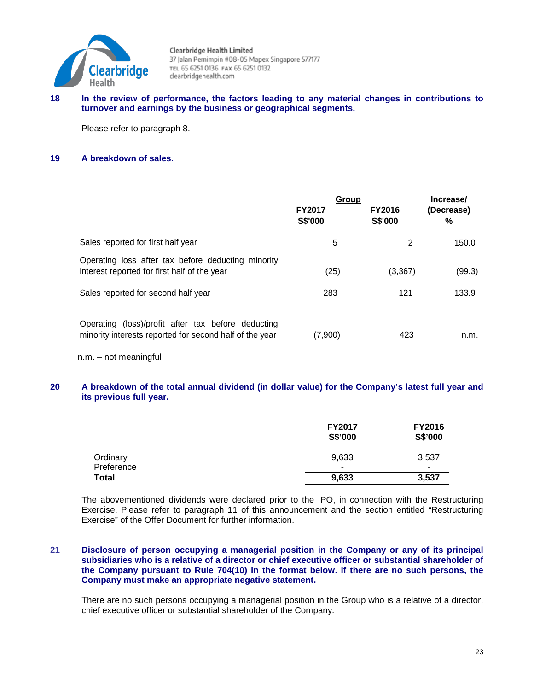

### **18 In the review of performance, the factors leading to any material changes in contributions to turnover and earnings by the business or geographical segments.**

Please refer to paragraph 8.

# **19 A breakdown of sales.**

|                                                                                                               | Group<br><b>FY2017</b><br><b>S\$'000</b> | <b>FY2016</b><br><b>S\$'000</b> | Increase/<br>(Decrease)<br>% |
|---------------------------------------------------------------------------------------------------------------|------------------------------------------|---------------------------------|------------------------------|
| Sales reported for first half year                                                                            | 5                                        | 2                               | 150.0                        |
| Operating loss after tax before deducting minority<br>interest reported for first half of the year            | (25)                                     | (3, 367)                        | (99.3)                       |
| Sales reported for second half year                                                                           | 283                                      | 121                             | 133.9                        |
| Operating (loss)/profit after tax before deducting<br>minority interests reported for second half of the year | (7,900)                                  | 423                             | n.m.                         |

n.m. – not meaningful

# **20 A breakdown of the total annual dividend (in dollar value) for the Company's latest full year and its previous full year.**

|                            | <b>FY2017</b><br>S\$'000 | <b>FY2016</b><br>S\$'000 |
|----------------------------|--------------------------|--------------------------|
| Ordinary                   | 9,633                    | 3,537                    |
| Preference<br><b>Total</b> | -<br>9,633               | ۰<br>3,537               |

The abovementioned dividends were declared prior to the IPO, in connection with the Restructuring Exercise. Please refer to paragraph 11 of this announcement and the section entitled "Restructuring Exercise" of the Offer Document for further information.

# **21 Disclosure of person occupying a managerial position in the Company or any of its principal subsidiaries who is a relative of a director or chief executive officer or substantial shareholder of the Company pursuant to Rule 704(10) in the format below. If there are no such persons, the Company must make an appropriate negative statement.**

There are no such persons occupying a managerial position in the Group who is a relative of a director, chief executive officer or substantial shareholder of the Company.